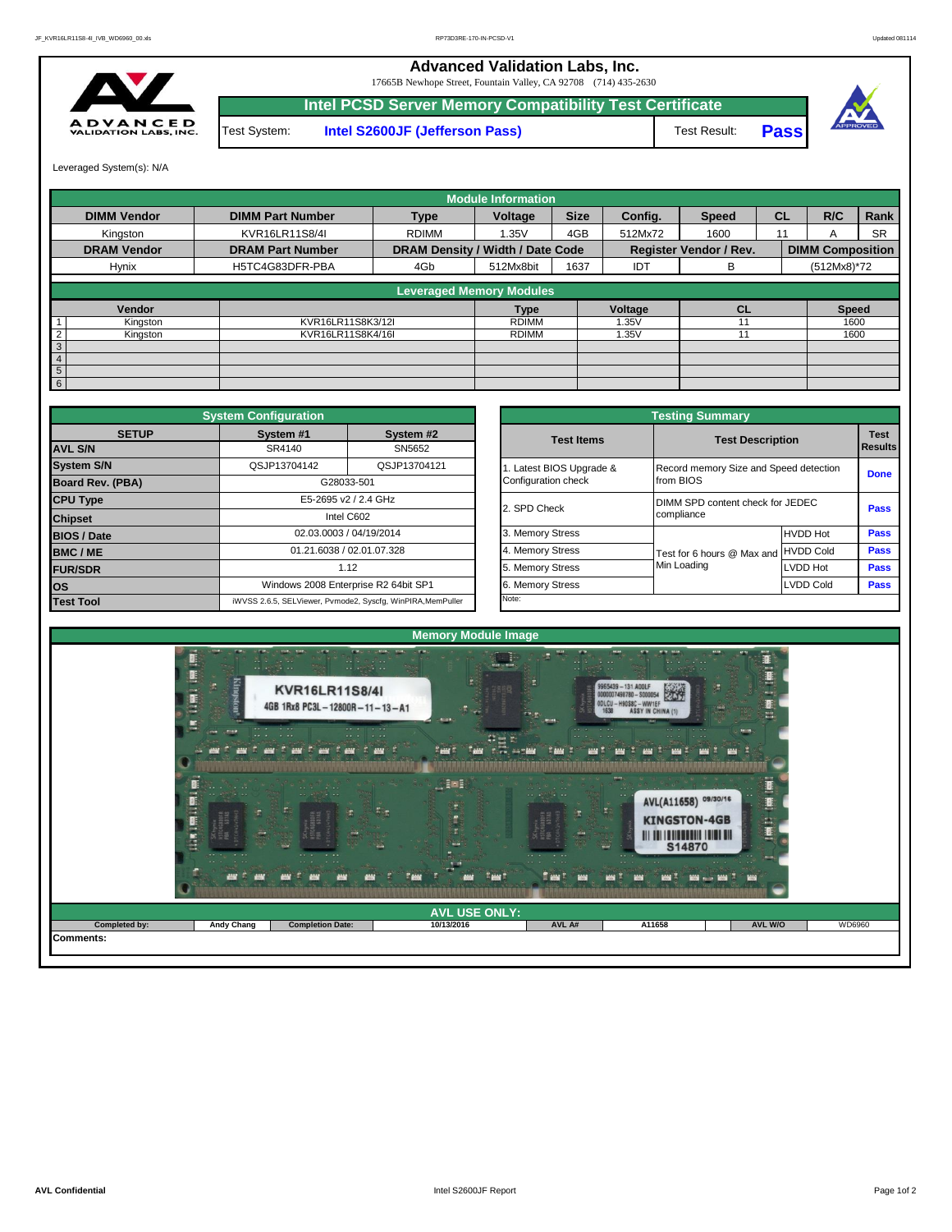**Advanced Validation Labs, Inc.** 

17665B Newhope Street, Fountain Valley, CA 92708 (714) 435-2630



Test System: **Intel S2600JF (Jefferson Pass)** Test Result: **Intel PCSD Server Memory Compatibility Test Certificate**



Leveraged System(s): N/A

|                            |                         |                                  | <b>Module Information</b> |             |            |                               |           |                         |           |
|----------------------------|-------------------------|----------------------------------|---------------------------|-------------|------------|-------------------------------|-----------|-------------------------|-----------|
| <b>DIMM Vendor</b>         | <b>DIMM Part Number</b> | <b>Type</b>                      | Voltage                   | <b>Size</b> | Config.    | <b>Speed</b>                  | <b>CL</b> | R/C                     | Rank      |
| Kingston                   | KVR16LR11S8/4I          | <b>RDIMM</b>                     | 1.35V                     | 4GB         | 512Mx72    | 1600                          | 11        | A                       | <b>SR</b> |
| <b>DRAM Vendor</b>         | <b>DRAM Part Number</b> | DRAM Density / Width / Date Code |                           |             |            | <b>Register Vendor / Rev.</b> |           | <b>DIMM Composition</b> |           |
| Hynix                      | H5TC4G83DFR-PBA         | 4Gb                              | 512Mx8bit                 | 1637        | <b>IDT</b> | В                             |           | (512Mx8)*72             |           |
|                            |                         | <b>Leveraged Memory Modules</b>  |                           |             |            |                               |           |                         |           |
| Vendor                     |                         |                                  | <b>Type</b>               |             | Voltage    | <b>CL</b>                     |           | <b>Speed</b>            |           |
| Kingston                   | KVR16LR11S8K3/12I       |                                  | <b>RDIMM</b>              |             | 1.35V      |                               |           | 1600                    |           |
| $\overline{2}$<br>Kingston | KVR16LR11S8K4/16I       |                                  | <b>RDIMM</b>              |             | 1.35V      |                               |           | 1600                    |           |
| 3                          |                         |                                  |                           |             |            |                               |           |                         |           |
| $\overline{4}$             |                         |                                  |                           |             |            |                               |           |                         |           |
| $5\phantom{.0}$            |                         |                                  |                           |             |            |                               |           |                         |           |
| 6                          |                         |                                  |                           |             |            |                               |           |                         |           |

|                         | <b>System Configuration</b> |                                                             |                       | <b>Testing Summary</b>                 |                  |             |  |
|-------------------------|-----------------------------|-------------------------------------------------------------|-----------------------|----------------------------------------|------------------|-------------|--|
| <b>SETUP</b>            | System #1                   | System #2                                                   | <b>Test Items</b>     | <b>Test Description</b>                |                  | <b>Test</b> |  |
| <b>AVL S/N</b>          | SR4140                      | SN5652                                                      |                       |                                        |                  | Result      |  |
| <b>System S/N</b>       | QSJP13704142                | QSJP13704121                                                | Latest BIOS Upgrade & | Record memory Size and Speed detection |                  | Done        |  |
| <b>Board Rev. (PBA)</b> |                             | G28033-501                                                  | Configuration check   | from BIOS                              |                  |             |  |
| <b>CPU Type</b>         |                             | E5-2695 v2 / 2.4 GHz                                        | 2. SPD Check          | DIMM SPD content check for JEDEC       |                  | Pass        |  |
| <b>Chipset</b>          |                             | Intel C602                                                  |                       | compliance                             |                  |             |  |
| <b>BIOS / Date</b>      |                             | 02.03.0003 / 04/19/2014                                     | 3. Memory Stress      |                                        | <b>HVDD Hot</b>  | Pass        |  |
| <b>BMC/ME</b>           |                             | 01.21.6038 / 02.01.07.328                                   | 4. Memory Stress      | Test for 6 hours @ Max and HVDD Cold   |                  | Pass        |  |
| <b>FUR/SDR</b>          |                             | 1.12                                                        | 5. Memory Stress      | Min Loading                            | LVDD Hot         | Pass        |  |
| <b>los</b>              |                             | Windows 2008 Enterprise R2 64bit SP1                        | 6. Memory Stress      |                                        | <b>LVDD Cold</b> | Pass        |  |
| <b>Test Tool</b>        |                             | iWVSS 2.6.5, SELViewer, Pvmode2, Syscfq, WinPIRA, MemPuller | Note:                 |                                        |                  |             |  |

|                         |                                                 | <b>Testing Summary</b>     |                                        |             |  |  |  |
|-------------------------|-------------------------------------------------|----------------------------|----------------------------------------|-------------|--|--|--|
| System #2<br>SN5652     | <b>Test Items</b>                               | <b>Test Description</b>    |                                        |             |  |  |  |
| QSJP13704121            | 1. Latest BIOS Upgrade &<br>Configuration check | from BIOS                  | Record memory Size and Speed detection |             |  |  |  |
| <b>GHz</b>              | 2. SPD Check                                    | compliance                 | DIMM SPD content check for JEDEC       |             |  |  |  |
| /2014                   | 3. Memory Stress                                |                            | <b>HVDD Hot</b>                        | <b>Pass</b> |  |  |  |
| 17.328                  | 4. Memory Stress                                | Test for 6 hours @ Max and | <b>HVDD Cold</b>                       | Pass        |  |  |  |
|                         | 5. Memory Stress                                | Min Loading                | LVDD Hot                               | Pass        |  |  |  |
| R2 64bit SP1            | 6. Memory Stress                                |                            | <b>LVDD Cold</b>                       | <b>Pass</b> |  |  |  |
| cfg, WinPIRA, MemPuller | Note:                                           |                            |                                        |             |  |  |  |